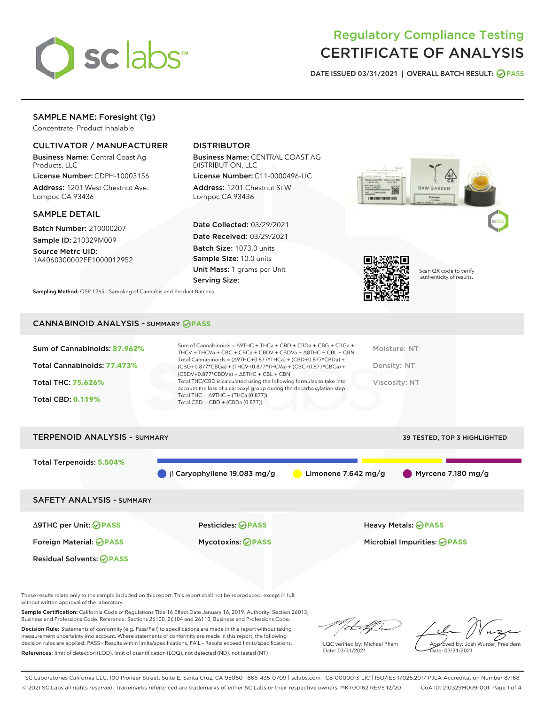

# Regulatory Compliance Testing CERTIFICATE OF ANALYSIS

DATE ISSUED 03/31/2021 | OVERALL BATCH RESULT: @ PASS

# SAMPLE NAME: Foresight (1g)

Concentrate, Product Inhalable

## CULTIVATOR / MANUFACTURER

Business Name: Central Coast Ag Products, LLC

License Number: CDPH-10003156 Address: 1201 West Chestnut Ave. Lompoc CA 93436

#### SAMPLE DETAIL

Batch Number: 210000207 Sample ID: 210329M009

Source Metrc UID: 1A4060300002EE1000012952

# DISTRIBUTOR

Business Name: CENTRAL COAST AG DISTRIBUTION, LLC

License Number: C11-0000496-LIC Address: 1201 Chestnut St W Lompoc CA 93436

Date Collected: 03/29/2021 Date Received: 03/29/2021 Batch Size: 1073.0 units Sample Size: 10.0 units Unit Mass: 1 grams per Unit Serving Size:

Sampling Method: QSP 1265 - Sampling of Cannabis and Product Batches





Scan QR code to verify authenticity of results.

#### CANNABINOID ANALYSIS - SUMMARY **PASS**

| Sum of Cannabinoids: 87.962%<br>Total Cannabinoids: 77.473% | Sum of Cannabinoids = $\triangle$ 9THC + THCa + CBD + CBDa + CBG + CBGa +<br>THCV + THCVa + CBC + CBCa + CBDV + CBDVa + $\land$ 8THC + CBL + CBN<br>Total Cannabinoids = $(\Delta$ 9THC+0.877*THCa) + (CBD+0.877*CBDa) +<br>$(CBG+0.877*CBGa) + (THCV+0.877*THCVa) + (CBC+0.877*CBCa) +$<br>$(CBDV+0.877*CBDVa) + \Delta 8THC + CBL + CBN$ | Moisture: NT<br>Density: NT         |
|-------------------------------------------------------------|--------------------------------------------------------------------------------------------------------------------------------------------------------------------------------------------------------------------------------------------------------------------------------------------------------------------------------------------|-------------------------------------|
| Total THC: 75.626%<br><b>Total CBD: 0.119%</b>              | Total THC/CBD is calculated using the following formulas to take into<br>account the loss of a carboxyl group during the decarboxylation step:<br>Total THC = $\triangle$ 9THC + (THCa (0.877))<br>Total CBD = $CBD + (CBDa (0.877))$                                                                                                      | Viscosity: NT                       |
| <b>TERPENOID ANALYSIS - SUMMARY</b>                         |                                                                                                                                                                                                                                                                                                                                            | <b>39 TESTED. TOP 3 HIGHLIGHTED</b> |

| Total Terpenoids: 5.504%         | $\beta$ Caryophyllene 19.083 mg/g | Myrcene 7.180 mg/g<br>Limonene 7.642 mg/g |  |
|----------------------------------|-----------------------------------|-------------------------------------------|--|
| <b>SAFETY ANALYSIS - SUMMARY</b> |                                   |                                           |  |
| ∆9THC per Unit: ⊘PASS            | Pesticides: <b>⊘</b> PASS         | <b>Heavy Metals: ⊘ PASS</b>               |  |
| Foreign Material: <b>⊘ PASS</b>  | <b>Mycotoxins: ⊘PASS</b>          | Microbial Impurities: @PASS               |  |
| <b>Residual Solvents: ⊘PASS</b>  |                                   |                                           |  |

These results relate only to the sample included on this report. This report shall not be reproduced, except in full, without written approval of the laboratory.

Sample Certification: California Code of Regulations Title 16 Effect Date January 16, 2019. Authority: Section 26013, Business and Professions Code. Reference: Sections 26100, 26104 and 26110, Business and Professions Code.

Decision Rule: Statements of conformity (e.g. Pass/Fail) to specifications are made in this report without taking measurement uncertainty into account. Where statements of conformity are made in this report, the following decision rules are applied: PASS – Results within limits/specifications, FAIL – Results exceed limits/specifications. References: limit of detection (LOD), limit of quantification (LOQ), not detected (ND), not tested (NT)

hat f h

LQC verified by: Michael Pham Date: 03/31/2021

Approved by: Josh Wurzer, President Date: 03/31/2021

SC Laboratories California LLC. 100 Pioneer Street, Suite E, Santa Cruz, CA 95060 | 866-435-0709 | sclabs.com | C8-0000013-LIC | ISO/IES 17025:2017 PJLA Accreditation Number 87168 © 2021 SC Labs all rights reserved. Trademarks referenced are trademarks of either SC Labs or their respective owners. MKT00162 REV5 12/20 CoA ID: 210329M009-001 Page 1 of 4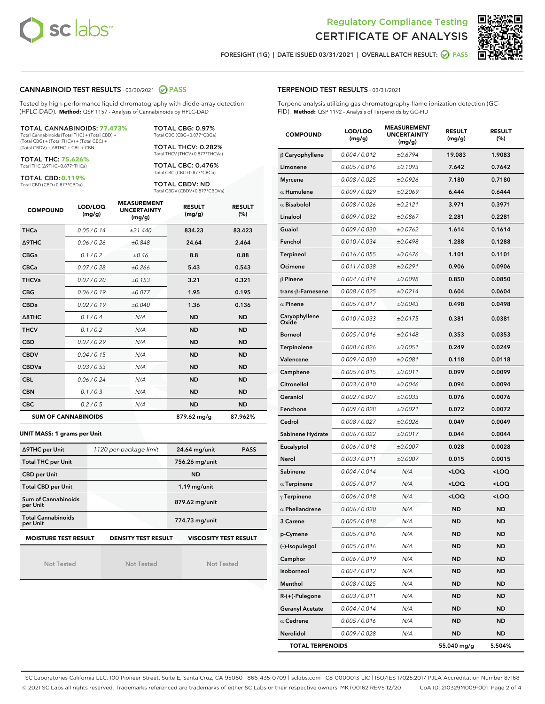



FORESIGHT (1G) | DATE ISSUED 03/31/2021 | OVERALL BATCH RESULT:  $\bigcirc$  PASS

#### CANNABINOID TEST RESULTS - 03/30/2021 2 PASS

Tested by high-performance liquid chromatography with diode-array detection (HPLC-DAD). **Method:** QSP 1157 - Analysis of Cannabinoids by HPLC-DAD

#### TOTAL CANNABINOIDS: **77.473%**

Total Cannabinoids (Total THC) + (Total CBD) + (Total CBG) + (Total THCV) + (Total CBC) + (Total CBDV) + ∆8THC + CBL + CBN

TOTAL THC: **75.626%** Total THC (∆9THC+0.877\*THCa)

TOTAL CBD: **0.119%**

Total CBD (CBD+0.877\*CBDa)

TOTAL CBG: 0.97% Total CBG (CBG+0.877\*CBGa)

TOTAL THCV: 0.282% Total THCV (THCV+0.877\*THCVa)

TOTAL CBC: 0.476% Total CBC (CBC+0.877\*CBCa)

TOTAL CBDV: ND Total CBDV (CBDV+0.877\*CBDVa)

| <b>COMPOUND</b> | LOD/LOQ<br>(mg/g)          | <b>MEASUREMENT</b><br><b>UNCERTAINTY</b><br>(mg/g) | <b>RESULT</b><br>(mg/g) | <b>RESULT</b><br>(%) |
|-----------------|----------------------------|----------------------------------------------------|-------------------------|----------------------|
| <b>THCa</b>     | 0.05/0.14                  | ±21.440                                            | 834.23                  | 83.423               |
| <b>A9THC</b>    | 0.06 / 0.26                | ±0.848                                             | 24.64                   | 2.464                |
| <b>CBGa</b>     | 0.1 / 0.2                  | ±0.46                                              | 8.8                     | 0.88                 |
| <b>CBCa</b>     | 0.07 / 0.28                | ±0.266                                             | 5.43                    | 0.543                |
| <b>THCVa</b>    | 0.07/0.20                  | ±0.153                                             | 3.21                    | 0.321                |
| <b>CBG</b>      | 0.06/0.19                  | ±0.077                                             | 1.95                    | 0.195                |
| <b>CBDa</b>     | 0.02/0.19                  | ±0.040                                             | 1.36                    | 0.136                |
| A8THC           | 0.1/0.4                    | N/A                                                | <b>ND</b>               | <b>ND</b>            |
| <b>THCV</b>     | 0.1/0.2                    | N/A                                                | <b>ND</b>               | <b>ND</b>            |
| <b>CBD</b>      | 0.07/0.29                  | N/A                                                | <b>ND</b>               | <b>ND</b>            |
| <b>CBDV</b>     | 0.04 / 0.15                | N/A                                                | <b>ND</b>               | <b>ND</b>            |
| <b>CBDVa</b>    | 0.03/0.53                  | N/A                                                | <b>ND</b>               | <b>ND</b>            |
| <b>CBL</b>      | 0.06 / 0.24                | N/A                                                | <b>ND</b>               | <b>ND</b>            |
| <b>CBN</b>      | 0.1/0.3                    | N/A                                                | <b>ND</b>               | <b>ND</b>            |
| <b>CBC</b>      | 0.2 / 0.5                  | N/A                                                | <b>ND</b>               | <b>ND</b>            |
|                 | <b>SUM OF CANNABINOIDS</b> |                                                    | 879.62 mg/g             | 87.962%              |

#### **UNIT MASS: 1 grams per Unit**

| ∆9THC per Unit                        | 1120 per-package limit     | <b>PASS</b><br>24.64 mg/unit |
|---------------------------------------|----------------------------|------------------------------|
| <b>Total THC per Unit</b>             |                            | 756.26 mg/unit               |
| <b>CBD per Unit</b>                   |                            | <b>ND</b>                    |
| <b>Total CBD per Unit</b>             |                            | $1.19$ mg/unit               |
| Sum of Cannabinoids<br>per Unit       |                            | 879.62 mg/unit               |
| <b>Total Cannabinoids</b><br>per Unit |                            | 774.73 mg/unit               |
| <b>MOISTURE TEST RESULT</b>           | <b>DENSITY TEST RESULT</b> | <b>VISCOSITY TEST RESULT</b> |

Not Tested

Not Tested

Not Tested

#### TERPENOID TEST RESULTS - 03/31/2021

Terpene analysis utilizing gas chromatography-flame ionization detection (GC-FID). **Method:** QSP 1192 - Analysis of Terpenoids by GC-FID

| <b>COMPOUND</b>         | LOD/LOQ<br>(mg/g) | <b>MEASUREMENT</b><br><b>UNCERTAINTY</b><br>(mg/g) | <b>RESULT</b><br>(mg/g)                         | <b>RESULT</b><br>(%) |
|-------------------------|-------------------|----------------------------------------------------|-------------------------------------------------|----------------------|
| $\beta$ Caryophyllene   | 0.004 / 0.012     | ±0.6794                                            | 19.083                                          | 1.9083               |
| Limonene                | 0.005 / 0.016     | ±0.1093                                            | 7.642                                           | 0.7642               |
| <b>Myrcene</b>          | 0.008 / 0.025     | ±0.0926                                            | 7.180                                           | 0.7180               |
| $\alpha$ Humulene       | 0.009 / 0.029     | ±0.2069                                            | 6.444                                           | 0.6444               |
| $\alpha$ Bisabolol      | 0.008 / 0.026     | ±0.2121                                            | 3.971                                           | 0.3971               |
| Linalool                | 0.009/0.032       | ±0.0867                                            | 2.281                                           | 0.2281               |
| Guaiol                  | 0.009 / 0.030     | ±0.0762                                            | 1.614                                           | 0.1614               |
| Fenchol                 | 0.010 / 0.034     | ±0.0498                                            | 1.288                                           | 0.1288               |
| <b>Terpineol</b>        | 0.016 / 0.055     | ±0.0676                                            | 1.101                                           | 0.1101               |
| Ocimene                 | 0.011 / 0.038     | ±0.0291                                            | 0.906                                           | 0.0906               |
| $\beta$ Pinene          | 0.004 / 0.014     | ±0.0098                                            | 0.850                                           | 0.0850               |
| trans-ß-Farnesene       | 0.008 / 0.025     | ±0.0214                                            | 0.604                                           | 0.0604               |
| $\alpha$ Pinene         | 0.005 / 0.017     | ±0.0043                                            | 0.498                                           | 0.0498               |
| Caryophyllene<br>Oxide  | 0.010 / 0.033     | ±0.0175                                            | 0.381                                           | 0.0381               |
| <b>Borneol</b>          | 0.005 / 0.016     | ±0.0148                                            | 0.353                                           | 0.0353               |
| Terpinolene             | 0.008 / 0.026     | ±0.0051                                            | 0.249                                           | 0.0249               |
| Valencene               | 0.009 / 0.030     | ±0.0081                                            | 0.118                                           | 0.0118               |
| Camphene                | 0.005 / 0.015     | ±0.0011                                            | 0.099                                           | 0.0099               |
| Citronellol             | 0.003 / 0.010     | ±0.0046                                            | 0.094                                           | 0.0094               |
| Geraniol                | 0.002 / 0.007     | ±0.0033                                            | 0.076                                           | 0.0076               |
| Fenchone                | 0.009 / 0.028     | ±0.0021                                            | 0.072                                           | 0.0072               |
| Cedrol                  | 0.008 / 0.027     | ±0.0026                                            | 0.049                                           | 0.0049               |
| Sabinene Hydrate        | 0.006 / 0.022     | ±0.0017                                            | 0.044                                           | 0.0044               |
| Eucalyptol              | 0.006 / 0.018     | ±0.0007                                            | 0.028                                           | 0.0028               |
| Nerol                   | 0.003 / 0.011     | ±0.0007                                            | 0.015                                           | 0.0015               |
| Sabinene                | 0.004 / 0.014     | N/A                                                | <loq< th=""><th><loq< th=""></loq<></th></loq<> | <loq< th=""></loq<>  |
| $\alpha$ Terpinene      | 0.005 / 0.017     | N/A                                                | <loq< th=""><th><loq< th=""></loq<></th></loq<> | <loq< th=""></loq<>  |
| $\gamma$ Terpinene      | 0.006 / 0.018     | N/A                                                | <loq< th=""><th><loq< th=""></loq<></th></loq<> | <loq< th=""></loq<>  |
| $\alpha$ Phellandrene   | 0.006 / 0.020     | N/A                                                | ND                                              | <b>ND</b>            |
| 3 Carene                | 0.005 / 0.018     | N/A                                                | <b>ND</b>                                       | ND                   |
| p-Cymene                | 0.005 / 0.016     | N/A                                                | ND                                              | ND                   |
| (-)-Isopulegol          | 0.005 / 0.016     | N/A                                                | ND                                              | ND                   |
| Camphor                 | 0.006 / 0.019     | N/A                                                | <b>ND</b>                                       | ND                   |
| Isoborneol              | 0.004 / 0.012     | N/A                                                | <b>ND</b>                                       | <b>ND</b>            |
| Menthol                 | 0.008 / 0.025     | N/A                                                | ND                                              | ND                   |
| R-(+)-Pulegone          | 0.003 / 0.011     | N/A                                                | ND                                              | ND                   |
| <b>Geranyl Acetate</b>  | 0.004 / 0.014     | N/A                                                | <b>ND</b>                                       | <b>ND</b>            |
| $\alpha$ Cedrene        | 0.005 / 0.016     | N/A                                                | ND                                              | ND                   |
| Nerolidol               | 0.009 / 0.028     | N/A                                                | <b>ND</b>                                       | ND                   |
| <b>TOTAL TERPENOIDS</b> |                   |                                                    | 55.040 mg/g                                     | 5.504%               |

SC Laboratories California LLC. 100 Pioneer Street, Suite E, Santa Cruz, CA 95060 | 866-435-0709 | sclabs.com | C8-0000013-LIC | ISO/IES 17025:2017 PJLA Accreditation Number 87168 © 2021 SC Labs all rights reserved. Trademarks referenced are trademarks of either SC Labs or their respective owners. MKT00162 REV5 12/20 CoA ID: 210329M009-001 Page 2 of 4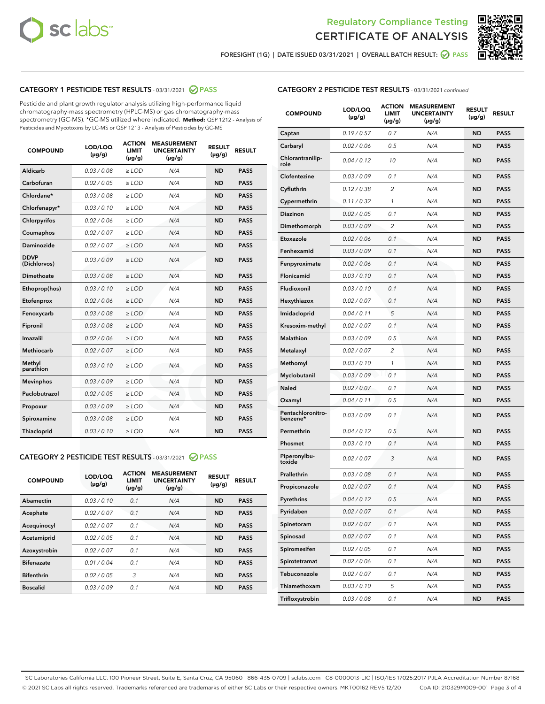



FORESIGHT (1G) | DATE ISSUED 03/31/2021 | OVERALL BATCH RESULT: 2 PASS

## CATEGORY 1 PESTICIDE TEST RESULTS - 03/31/2021 2 PASS

Pesticide and plant growth regulator analysis utilizing high-performance liquid chromatography-mass spectrometry (HPLC-MS) or gas chromatography-mass spectrometry (GC-MS). \*GC-MS utilized where indicated. **Method:** QSP 1212 - Analysis of Pesticides and Mycotoxins by LC-MS or QSP 1213 - Analysis of Pesticides by GC-MS

| <b>COMPOUND</b>             | LOD/LOQ<br>$(\mu g/g)$ | <b>ACTION</b><br><b>LIMIT</b><br>$(\mu g/g)$ | <b>MEASUREMENT</b><br><b>UNCERTAINTY</b><br>$(\mu g/g)$ | <b>RESULT</b><br>$(\mu g/g)$ | <b>RESULT</b> |
|-----------------------------|------------------------|----------------------------------------------|---------------------------------------------------------|------------------------------|---------------|
| Aldicarb                    | 0.03 / 0.08            | $\ge$ LOD                                    | N/A                                                     | <b>ND</b>                    | <b>PASS</b>   |
| Carbofuran                  | 0.02 / 0.05            | $\ge$ LOD                                    | N/A                                                     | <b>ND</b>                    | <b>PASS</b>   |
| Chlordane*                  | 0.03/0.08              | $\ge$ LOD                                    | N/A                                                     | <b>ND</b>                    | <b>PASS</b>   |
| Chlorfenapyr*               | 0.03/0.10              | $\ge$ LOD                                    | N/A                                                     | <b>ND</b>                    | <b>PASS</b>   |
| Chlorpyrifos                | 0.02 / 0.06            | $\ge$ LOD                                    | N/A                                                     | <b>ND</b>                    | <b>PASS</b>   |
| Coumaphos                   | 0.02 / 0.07            | $\ge$ LOD                                    | N/A                                                     | <b>ND</b>                    | <b>PASS</b>   |
| Daminozide                  | 0.02/0.07              | $>$ LOD                                      | N/A                                                     | <b>ND</b>                    | <b>PASS</b>   |
| <b>DDVP</b><br>(Dichlorvos) | 0.03/0.09              | $>$ LOD                                      | N/A                                                     | <b>ND</b>                    | <b>PASS</b>   |
| Dimethoate                  | 0.03/0.08              | $\ge$ LOD                                    | N/A                                                     | <b>ND</b>                    | <b>PASS</b>   |
| Ethoprop(hos)               | 0.03/0.10              | $>$ LOD                                      | N/A                                                     | <b>ND</b>                    | <b>PASS</b>   |
| Etofenprox                  | 0.02 / 0.06            | $\ge$ LOD                                    | N/A                                                     | <b>ND</b>                    | <b>PASS</b>   |
| Fenoxycarb                  | 0.03/0.08              | $\ge$ LOD                                    | N/A                                                     | <b>ND</b>                    | <b>PASS</b>   |
| Fipronil                    | 0.03/0.08              | $>$ LOD                                      | N/A                                                     | <b>ND</b>                    | <b>PASS</b>   |
| Imazalil                    | 0.02 / 0.06            | $\ge$ LOD                                    | N/A                                                     | <b>ND</b>                    | <b>PASS</b>   |
| <b>Methiocarb</b>           | 0.02 / 0.07            | $\ge$ LOD                                    | N/A                                                     | <b>ND</b>                    | <b>PASS</b>   |
| Methyl<br>parathion         | 0.03/0.10              | $\ge$ LOD                                    | N/A                                                     | <b>ND</b>                    | <b>PASS</b>   |
| <b>Mevinphos</b>            | 0.03/0.09              | $\ge$ LOD                                    | N/A                                                     | <b>ND</b>                    | <b>PASS</b>   |
| Paclobutrazol               | 0.02 / 0.05            | $\ge$ LOD                                    | N/A                                                     | <b>ND</b>                    | <b>PASS</b>   |
| Propoxur                    | 0.03/0.09              | $\ge$ LOD                                    | N/A                                                     | <b>ND</b>                    | <b>PASS</b>   |
| Spiroxamine                 | 0.03 / 0.08            | $\ge$ LOD                                    | N/A                                                     | <b>ND</b>                    | <b>PASS</b>   |
| Thiacloprid                 | 0.03/0.10              | $\ge$ LOD                                    | N/A                                                     | <b>ND</b>                    | <b>PASS</b>   |

#### CATEGORY 2 PESTICIDE TEST RESULTS - 03/31/2021 @ PASS

| <b>COMPOUND</b>   | LOD/LOQ<br>$(\mu g/g)$ | <b>ACTION</b><br><b>LIMIT</b><br>$(\mu g/g)$ | <b>MEASUREMENT</b><br><b>UNCERTAINTY</b><br>$(\mu g/g)$ | <b>RESULT</b><br>$(\mu g/g)$ | <b>RESULT</b> |
|-------------------|------------------------|----------------------------------------------|---------------------------------------------------------|------------------------------|---------------|
| Abamectin         | 0.03/0.10              | 0.1                                          | N/A                                                     | <b>ND</b>                    | <b>PASS</b>   |
| Acephate          | 0.02/0.07              | 0.1                                          | N/A                                                     | <b>ND</b>                    | <b>PASS</b>   |
| Acequinocyl       | 0.02/0.07              | 0.1                                          | N/A                                                     | <b>ND</b>                    | <b>PASS</b>   |
| Acetamiprid       | 0.02/0.05              | 0.1                                          | N/A                                                     | <b>ND</b>                    | <b>PASS</b>   |
| Azoxystrobin      | 0.02/0.07              | 0.1                                          | N/A                                                     | <b>ND</b>                    | <b>PASS</b>   |
| <b>Bifenazate</b> | 0.01/0.04              | 0.1                                          | N/A                                                     | <b>ND</b>                    | <b>PASS</b>   |
| <b>Bifenthrin</b> | 0.02/0.05              | 3                                            | N/A                                                     | <b>ND</b>                    | <b>PASS</b>   |
| <b>Boscalid</b>   | 0.03/0.09              | 0.1                                          | N/A                                                     | <b>ND</b>                    | <b>PASS</b>   |

|  | <b>CATEGORY 2 PESTICIDE TEST RESULTS</b> - 03/31/2021 continued |  |
|--|-----------------------------------------------------------------|--|
|--|-----------------------------------------------------------------|--|

| <b>COMPOUND</b>               | LOD/LOQ<br>(µg/g) | <b>ACTION</b><br>LIMIT<br>(µg/g) | <b>MEASUREMENT</b><br><b>UNCERTAINTY</b><br>(µg/g) | <b>RESULT</b><br>(µg/g) | <b>RESULT</b> |
|-------------------------------|-------------------|----------------------------------|----------------------------------------------------|-------------------------|---------------|
| Captan                        | 0.19 / 0.57       | 0.7                              | N/A                                                | <b>ND</b>               | <b>PASS</b>   |
| Carbaryl                      | 0.02 / 0.06       | 0.5                              | N/A                                                | <b>ND</b>               | <b>PASS</b>   |
| Chlorantranilip-<br>role      | 0.04 / 0.12       | 10                               | N/A                                                | ND                      | <b>PASS</b>   |
| Clofentezine                  | 0.03 / 0.09       | 0.1                              | N/A                                                | ND                      | <b>PASS</b>   |
| Cyfluthrin                    | 0.12 / 0.38       | $\overline{c}$                   | N/A                                                | ND                      | <b>PASS</b>   |
| Cypermethrin                  | 0.11 / 0.32       | 1                                | N/A                                                | ND                      | <b>PASS</b>   |
| Diazinon                      | 0.02 / 0.05       | 0.1                              | N/A                                                | ND                      | <b>PASS</b>   |
| Dimethomorph                  | 0.03 / 0.09       | 2                                | N/A                                                | ND                      | PASS          |
| Etoxazole                     | 0.02 / 0.06       | 0.1                              | N/A                                                | ND                      | <b>PASS</b>   |
| Fenhexamid                    | 0.03 / 0.09       | 0.1                              | N/A                                                | ND                      | <b>PASS</b>   |
| Fenpyroximate                 | 0.02 / 0.06       | 0.1                              | N/A                                                | ND                      | PASS          |
| Flonicamid                    | 0.03 / 0.10       | 0.1                              | N/A                                                | ND                      | <b>PASS</b>   |
| Fludioxonil                   | 0.03/0.10         | 0.1                              | N/A                                                | ND                      | <b>PASS</b>   |
| Hexythiazox                   | 0.02 / 0.07       | 0.1                              | N/A                                                | ND                      | PASS          |
| Imidacloprid                  | 0.04 / 0.11       | 5                                | N/A                                                | ND                      | <b>PASS</b>   |
| Kresoxim-methyl               | 0.02 / 0.07       | 0.1                              | N/A                                                | ND                      | <b>PASS</b>   |
| <b>Malathion</b>              | 0.03 / 0.09       | 0.5                              | N/A                                                | ND                      | PASS          |
| Metalaxyl                     | 0.02 / 0.07       | 2                                | N/A                                                | ND                      | <b>PASS</b>   |
| Methomyl                      | 0.03 / 0.10       | 1                                | N/A                                                | ND                      | <b>PASS</b>   |
| Myclobutanil                  | 0.03 / 0.09       | 0.1                              | N/A                                                | ND                      | PASS          |
| Naled                         | 0.02 / 0.07       | 0.1                              | N/A                                                | ND                      | <b>PASS</b>   |
| Oxamyl                        | 0.04 / 0.11       | 0.5                              | N/A                                                | ND                      | PASS          |
| Pentachloronitro-<br>benzene* | 0.03 / 0.09       | 0.1                              | N/A                                                | ND                      | PASS          |
| Permethrin                    | 0.04 / 0.12       | 0.5                              | N/A                                                | ND                      | PASS          |
| Phosmet                       | 0.03 / 0.10       | 0.1                              | N/A                                                | ND                      | PASS          |
| Piperonylbu-<br>toxide        | 0.02 / 0.07       | 3                                | N/A                                                | ND                      | PASS          |
| Prallethrin                   | 0.03 / 0.08       | 0.1                              | N/A                                                | ND                      | <b>PASS</b>   |
| Propiconazole                 | 0.02 / 0.07       | 0.1                              | N/A                                                | ND                      | <b>PASS</b>   |
| Pyrethrins                    | 0.04 / 0.12       | 0.5                              | N/A                                                | ND,                     | PASS          |
| Pyridaben                     | 0.02 / 0.07       | 0.1                              | N/A                                                | ND                      | PASS          |
| Spinetoram                    | 0.02 / 0.07       | 0.1                              | N/A                                                | ND                      | <b>PASS</b>   |
| Spinosad                      | 0.02 / 0.07       | 0.1                              | N/A                                                | ND                      | <b>PASS</b>   |
| Spiromesifen                  | 0.02 / 0.05       | 0.1                              | N/A                                                | ND                      | <b>PASS</b>   |
| Spirotetramat                 | 0.02 / 0.06       | 0.1                              | N/A                                                | ND                      | <b>PASS</b>   |
| Tebuconazole                  | 0.02 / 0.07       | 0.1                              | N/A                                                | ND                      | <b>PASS</b>   |
| Thiamethoxam                  | 0.03 / 0.10       | 5                                | N/A                                                | ND                      | <b>PASS</b>   |
| Trifloxystrobin               | 0.03 / 0.08       | 0.1                              | N/A                                                | ND                      | <b>PASS</b>   |

SC Laboratories California LLC. 100 Pioneer Street, Suite E, Santa Cruz, CA 95060 | 866-435-0709 | sclabs.com | C8-0000013-LIC | ISO/IES 17025:2017 PJLA Accreditation Number 87168 © 2021 SC Labs all rights reserved. Trademarks referenced are trademarks of either SC Labs or their respective owners. MKT00162 REV5 12/20 CoA ID: 210329M009-001 Page 3 of 4